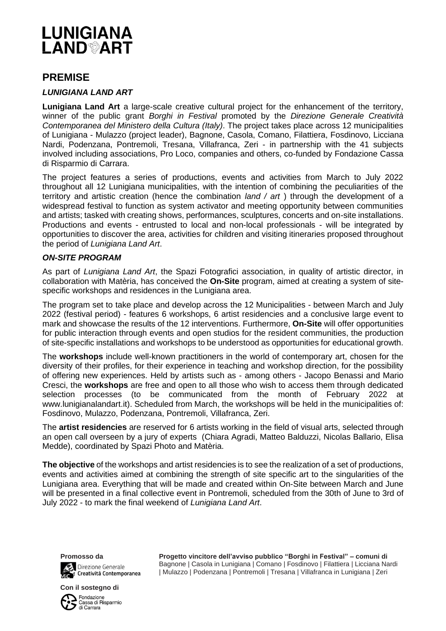

# **PREMISE**

### *LUNIGIANA LAND ART*

**Lunigiana Land Art** a large-scale creative cultural project for the enhancement of the territory, winner of the public grant *Borghi in Festival* promoted by the *[Direzione Generale Creatività](https://creativitacontemporanea.beniculturali.it/)  [Contemporanea del Ministero della Cultura](https://creativitacontemporanea.beniculturali.it/) (Italy)*. The project takes place across 12 municipalities of Lunigiana - Mulazzo (project leader), Bagnone, Casola, Comano, Filattiera, Fosdinovo, Licciana Nardi, Podenzana, Pontremoli, Tresana, Villafranca, Zeri - in partnership with the 41 subjects involved including associations, Pro Loco, companies and others, co-funded by Fondazione Cassa di Risparmio di Carrara.

The project features a series of productions, events and activities from March to July 2022 throughout all 12 Lunigiana municipalities, with the intention of combining the peculiarities of the territory and artistic creation (hence the combination *land / art* ) through the development of a widespread festival to function as system activator and meeting opportunity between communities and artists; tasked with creating shows, performances, sculptures, concerts and on-site installations. Productions and events - entrusted to local and non-local professionals - will be integrated by opportunities to discover the area, activities for children and visiting itineraries proposed throughout the period of *Lunigiana Land Art*.

#### *ON-SITE PROGRAM*

As part of *Lunigiana Land Art*, the Spazi Fotografici association, in quality of artistic director, in collaboration with Matèria, has conceived the **On-Site** program, aimed at creating a system of sitespecific workshops and residences in the Lunigiana area.

The program set to take place and develop across the 12 Municipalities - between March and July 2022 (festival period) - features 6 workshops, 6 artist residencies and a conclusive large event to mark and showcase the results of the 12 interventions. Furthermore, **On-Site** will offer opportunities for public interaction through events and open studios for the resident communities, the production of site-specific installations and workshops to be understood as opportunities for educational growth.

The **workshops** include well-known practitioners in the world of contemporary art, chosen for the diversity of their profiles, for their experience in teaching and workshop direction, for the possibility of offering new experiences. Held by artists such as - among others - Jacopo Benassi and Mario Cresci, the **workshops** are free and open to all those who wish to access them through dedicated selection processes (to be communicated from the month of February 2022 at www.lunigianalandart.it). Scheduled from March, the workshops will be held in the municipalities of: Fosdinovo, Mulazzo, Podenzana, Pontremoli, Villafranca, Zeri.

The **artist residencies** are reserved for 6 artists working in the field of visual arts, selected through an open call overseen by a jury of experts (Chiara Agradi, Matteo Balduzzi, Nicolas Ballario, Elisa Medde), coordinated by Spazi Photo and Matèria.

**The objective** of the workshops and artist residencies is to see the realization of a set of productions, events and activities aimed at combining the strength of site specific art to the singularities of the Lunigiana area. Everything that will be made and created within On-Site between March and June will be presented in a final collective event in Pontremoli, scheduled from the 30th of June to 3rd of July 2022 - to mark the final weekend of *Lunigiana Land Art*.



Direzione Generale<br>Gita Creatività Contempo Creatività Contemporanea

**Con il sostegno di**

Fondazione<br>Cassa di Risparmio di Carrara

**Progetto vincitore dell'avviso pubblico "Borghi in Festival" – comuni di** Bagnone | Casola in Lunigiana | Comano | Fosdinovo | Filattiera | Licciana Nardi | Mulazzo | Podenzana | Pontremoli | Tresana | Villafranca in Lunigiana | Zeri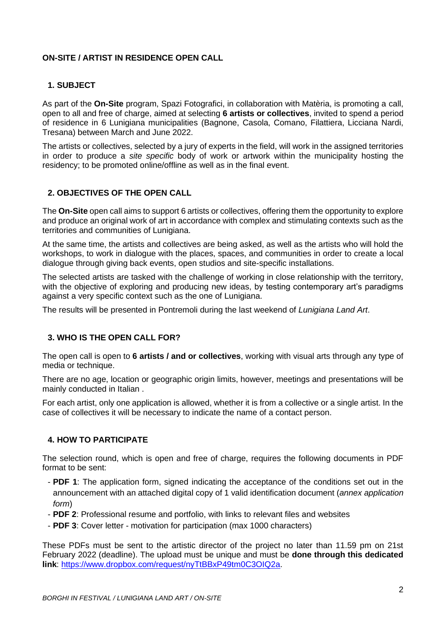## **ON-SITE / ARTIST IN RESIDENCE OPEN CALL**

### **1. SUBJECT**

As part of the **On-Site** program, Spazi Fotografici, in collaboration with Matèria, is promoting a call, open to all and free of charge, aimed at selecting **6 artists or collectives**, invited to spend a period of residence in 6 Lunigiana municipalities (Bagnone, Casola, Comano, Filattiera, Licciana Nardi, Tresana) between March and June 2022.

The artists or collectives, selected by a jury of experts in the field, will work in the assigned territories in order to produce a *site specific* body of work or artwork within the municipality hosting the residency; to be promoted online/offline as well as in the final event.

### **2. OBJECTIVES OF THE OPEN CALL**

The **On-Site** open call aims to support 6 artists or collectives, offering them the opportunity to explore and produce an original work of art in accordance with complex and stimulating contexts such as the territories and communities of Lunigiana.

At the same time, the artists and collectives are being asked, as well as the artists who will hold the workshops, to work in dialogue with the places, spaces, and communities in order to create a local dialogue through giving back events, open studios and site-specific installations.

The selected artists are tasked with the challenge of working in close relationship with the territory, with the objective of exploring and producing new ideas, by testing contemporary art's paradigms against a very specific context such as the one of Lunigiana.

The results will be presented in Pontremoli during the last weekend of *Lunigiana Land Art*.

### **3. WHO IS THE OPEN CALL FOR?**

The open call is open to **6 artists / and or collectives**, working with visual arts through any type of media or technique.

There are no age, location or geographic origin limits, however, meetings and presentations will be mainly conducted in Italian .

For each artist, only one application is allowed, whether it is from a collective or a single artist. In the case of collectives it will be necessary to indicate the name of a contact person.

### **4. HOW TO PARTICIPATE**

The selection round, which is open and free of charge, requires the following documents in PDF format to be sent:

- **PDF 1**: The application form, signed indicating the acceptance of the conditions set out in the announcement with an attached digital copy of 1 valid identification document (*annex application form*)
- **PDF 2**: Professional resume and portfolio, with links to relevant files and websites
- **PDF 3**: Cover letter motivation for participation (max 1000 characters)

These PDFs must be sent to the artistic director of the project no later than 11.59 pm on 21st February 2022 (deadline). The upload must be unique and must be **done through this dedicated link**: [https://www.dropbox.com/request/nyTtBBxP49tm0C3OIQ2a.](https://www.dropbox.com/request/nyTtBBxP49tm0C3OIQ2a)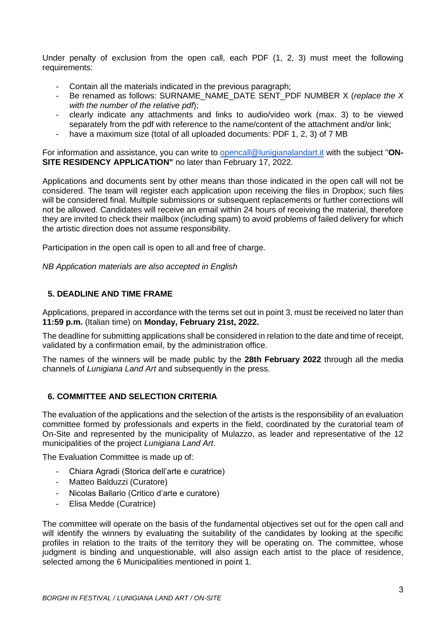Under penalty of exclusion from the open call, each PDF (1, 2, 3) must meet the following requirements:

- Contain all the materials indicated in the previous paragraph;
- Be renamed as follows: SURNAME\_NAME\_DATE SENT\_PDF NUMBER X (*replace the X with the number of the relative pdf*);
- clearly indicate any attachments and links to audio/video work (max. 3) to be viewed separately from the pdf with reference to the name/content of the attachment and/or link;
- have a maximum size (total of all uploaded documents: PDF 1, 2, 3) of 7 MB

For information and assistance, you can write to [opencall@lunigianalandart.it](mailto:opencall@lunigianalandart.it) with the subject "**ON-SITE RESIDENCY APPLICATION"** no later than February 17, 2022.

Applications and documents sent by other means than those indicated in the open call will not be considered. The team will register each application upon receiving the files in Dropbox; such files will be considered final. Multiple submissions or subsequent replacements or further corrections will not be allowed. Candidates will receive an email within 24 hours of receiving the material, therefore they are invited to check their mailbox (including spam) to avoid problems of failed delivery for which the artistic direction does not assume responsibility.

Participation in the open call is open to all and free of charge.

*NB Application materials are also accepted in English*

### **5. DEADLINE AND TIME FRAME**

Applications, prepared in accordance with the terms set out in point 3, must be received no later than **11:59 p.m.** (Italian time) on **Monday, February 21st, 2022.**

The deadline for submitting applications shall be considered in relation to the date and time of receipt, validated by a confirmation email, by the administration office.

The names of the winners will be made public by the **28th February 2022** through all the media channels of *Lunigiana Land Art* and subsequently in the press.

### **6. COMMITTEE AND SELECTION CRITERIA**

The evaluation of the applications and the selection of the artists is the responsibility of an evaluation committee formed by professionals and experts in the field, coordinated by the curatorial team of On-Site and represented by the municipality of Mulazzo, as leader and representative of the 12 municipalities of the project *Lunigiana Land Art*.

The Evaluation Committee is made up of:

- Chiara Agradi (Storica dell'arte e curatrice)
- Matteo Balduzzi (Curatore)
- Nicolas Ballario (Critico d'arte e curatore)
- Elisa Medde (Curatrice)

The committee will operate on the basis of the fundamental objectives set out for the open call and will identify the winners by evaluating the suitability of the candidates by looking at the specific profiles in relation to the traits of the territory they will be operating on. The committee, whose judgment is binding and unquestionable, will also assign each artist to the place of residence, selected among the 6 Municipalities mentioned in point 1.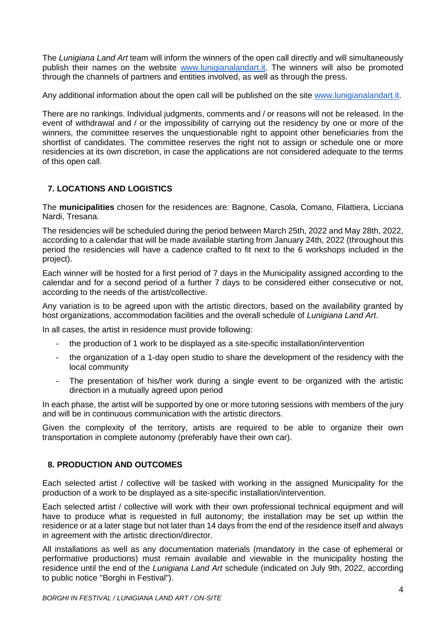The *Lunigiana Land Art* team will inform the winners of the open call directly and will simultaneously publish their names on the website [www.lunigianalandart.it.](http://www.lunigianalandart.it/) The winners will also be promoted through the channels of partners and entities involved, as well as through the press.

Any additional information about the open call will be published on the site [www.lunigianalandart.it.](http://www.lunigianalandart.it/)

There are no rankings. Individual judgments, comments and / or reasons will not be released. In the event of withdrawal and / or the impossibility of carrying out the residency by one or more of the winners, the committee reserves the unquestionable right to appoint other beneficiaries from the shortlist of candidates. The committee reserves the right not to assign or schedule one or more residencies at its own discretion, in case the applications are not considered adequate to the terms of this open call.

# **7. LOCATIONS AND LOGISTICS**

The **municipalities** chosen for the residences are: Bagnone, Casola, Comano, Filattiera, Licciana Nardi, Tresana.

The residencies will be scheduled during the period between March 25th, 2022 and May 28th, 2022, according to a calendar that will be made available starting from January 24th, 2022 (throughout this period the residencies will have a cadence crafted to fit next to the 6 workshops included in the project).

Each winner will be hosted for a first period of 7 days in the Municipality assigned according to the calendar and for a second period of a further 7 days to be considered either consecutive or not, according to the needs of the artist/collective.

Any variation is to be agreed upon with the artistic directors, based on the availability granted by host organizations, accommodation facilities and the overall schedule of *Lunigiana Land Art*.

In all cases, the artist in residence must provide following:

- the production of 1 work to be displayed as a site-specific installation/intervention
- the organization of a 1-day open studio to share the development of the residency with the local community
- The presentation of his/her work during a single event to be organized with the artistic direction in a mutually agreed upon period

In each phase, the artist will be supported by one or more tutoring sessions with members of the jury and will be in continuous communication with the artistic directors.

Given the complexity of the territory, artists are required to be able to organize their own transportation in complete autonomy (preferably have their own car).

# **8. PRODUCTION AND OUTCOMES**

Each selected artist / collective will be tasked with working in the assigned Municipality for the production of a work to be displayed as a site-specific installation/intervention.

Each selected artist / collective will work with their own professional technical equipment and will have to produce what is requested in full autonomy; the installation may be set up within the residence or at a later stage but not later than 14 days from the end of the residence itself and always in agreement with the artistic direction/director.

All installations as well as any documentation materials (mandatory in the case of ephemeral or performative productions) must remain available and viewable in the municipality hosting the residence until the end of the *Lunigiana Land Art* schedule (indicated on July 9th, 2022, according to public notice "Borghi in Festival").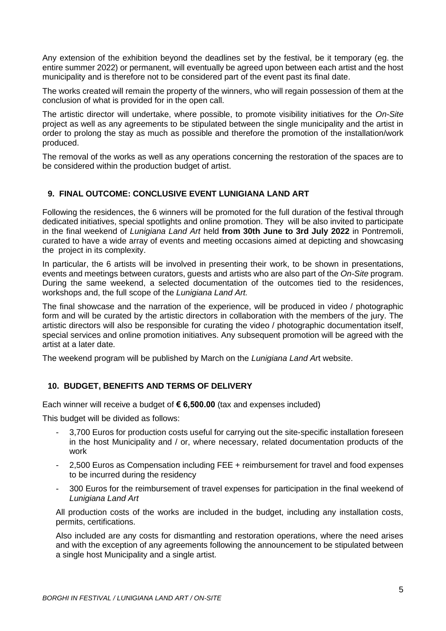Any extension of the exhibition beyond the deadlines set by the festival, be it temporary (eg. the entire summer 2022) or permanent, will eventually be agreed upon between each artist and the host municipality and is therefore not to be considered part of the event past its final date.

The works created will remain the property of the winners, who will regain possession of them at the conclusion of what is provided for in the open call.

The artistic director will undertake, where possible, to promote visibility initiatives for the *On-Site* project as well as any agreements to be stipulated between the single municipality and the artist in order to prolong the stay as much as possible and therefore the promotion of the installation/work produced.

The removal of the works as well as any operations concerning the restoration of the spaces are to be considered within the production budget of artist.

### **9. FINAL OUTCOME: CONCLUSIVE EVENT LUNIGIANA LAND ART**

Following the residences, the 6 winners will be promoted for the full duration of the festival through dedicated initiatives, special spotlights and online promotion. They will be also invited to participate in the final weekend of *Lunigiana Land Art* held **from 30th June to 3rd July 2022** in Pontremoli, curated to have a wide array of events and meeting occasions aimed at depicting and showcasing the project in its complexity.

In particular, the 6 artists will be involved in presenting their work, to be shown in presentations, events and meetings between curators, guests and artists who are also part of the *On-Site* program. During the same weekend, a selected documentation of the outcomes tied to the residences, workshops and, the full scope of the *Lunigiana Land Art.*

The final showcase and the narration of the experience, will be produced in video / photographic form and will be curated by the artistic directors in collaboration with the members of the jury. The artistic directors will also be responsible for curating the video / photographic documentation itself, special services and online promotion initiatives. Any subsequent promotion will be agreed with the artist at a later date.

The weekend program will be published by March on the *Lunigiana Land Ar*t website.

# **10. BUDGET, BENEFITS AND TERMS OF DELIVERY**

Each winner will receive a budget of **€ 6,500.00** (tax and expenses included)

This budget will be divided as follows:

- 3,700 Euros for production costs useful for carrying out the site-specific installation foreseen in the host Municipality and / or, where necessary, related documentation products of the work
- 2,500 Euros as Compensation including FEE + reimbursement for travel and food expenses to be incurred during the residency
- 300 Euros for the reimbursement of travel expenses for participation in the final weekend of *Lunigiana Land Art*

All production costs of the works are included in the budget, including any installation costs, permits, certifications.

Also included are any costs for dismantling and restoration operations, where the need arises and with the exception of any agreements following the announcement to be stipulated between a single host Municipality and a single artist.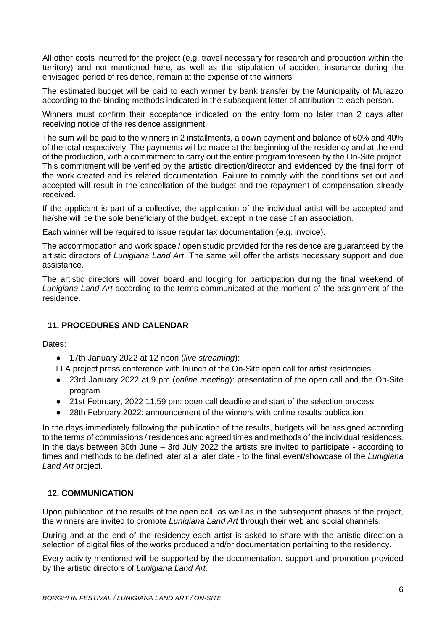All other costs incurred for the project (e.g. travel necessary for research and production within the territory) and not mentioned here, as well as the stipulation of accident insurance during the envisaged period of residence, remain at the expense of the winners.

The estimated budget will be paid to each winner by bank transfer by the Municipality of Mulazzo according to the binding methods indicated in the subsequent letter of attribution to each person.

Winners must confirm their acceptance indicated on the entry form no later than 2 days after receiving notice of the residence assignment.

The sum will be paid to the winners in 2 installments, a down payment and balance of 60% and 40% of the total respectively. The payments will be made at the beginning of the residency and at the end of the production, with a commitment to carry out the entire program foreseen by the On-Site project. This commitment will be verified by the artistic direction/director and evidenced by the final form of the work created and its related documentation. Failure to comply with the conditions set out and accepted will result in the cancellation of the budget and the repayment of compensation already received.

If the applicant is part of a collective, the application of the individual artist will be accepted and he/she will be the sole beneficiary of the budget, except in the case of an association.

Each winner will be required to issue requiar tax documentation (e.g. invoice).

The accommodation and work space / open studio provided for the residence are guaranteed by the artistic directors of *Lunigiana Land Art*. The same will offer the artists necessary support and due assistance.

The artistic directors will cover board and lodging for participation during the final weekend of *Lunigiana Land Art* according to the terms communicated at the moment of the assignment of the residence.

### **11. PROCEDURES AND CALENDAR**

Dates:

● 17th January 2022 at 12 noon (*live streaming*):

LLA project press conference with launch of the On-Site open call for artist residencies

- 23rd January 2022 at 9 pm (*online meeting*): presentation of the open call and the On-Site program
- 21st February, 2022 11.59 pm: open call deadline and start of the selection process
- 28th February 2022: announcement of the winners with online results publication

In the days immediately following the publication of the results, budgets will be assigned according to the terms of commissions / residences and agreed times and methods of the individual residences. In the days between 30th June – 3rd July 2022 the artists are invited to participate - according to times and methods to be defined later at a later date - to the final event/showcase of the *Lunigiana Land Art* project.

# **12. COMMUNICATION**

Upon publication of the results of the open call, as well as in the subsequent phases of the project, the winners are invited to promote *Lunigiana Land Art* through their web and social channels.

During and at the end of the residency each artist is asked to share with the artistic direction a selection of digital files of the works produced and/or documentation pertaining to the residency.

Every activity mentioned will be supported by the documentation, support and promotion provided by the artistic directors of *Lunigiana Land Art.*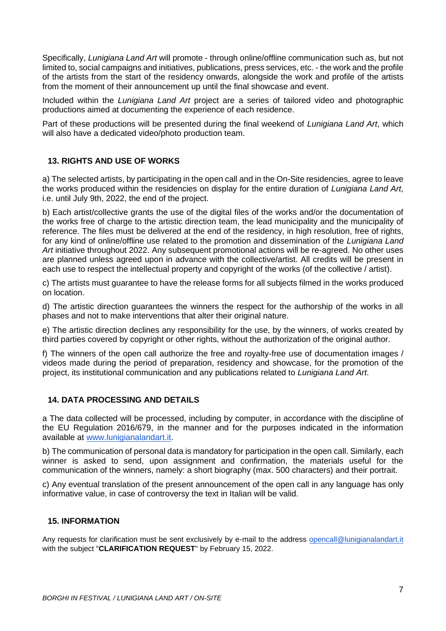Specifically, *Lunigiana Land Art* will promote - through online/offline communication such as, but not limited to, social campaigns and initiatives, publications, press services, etc. - the work and the profile of the artists from the start of the residency onwards, alongside the work and profile of the artists from the moment of their announcement up until the final showcase and event.

Included within the *Lunigiana Land Art* project are a series of tailored video and photographic productions aimed at documenting the experience of each residence.

Part of these productions will be presented during the final weekend of *Lunigiana Land Art*, which will also have a dedicated video/photo production team.

# **13. RIGHTS AND USE OF WORKS**

a) The selected artists, by participating in the open call and in the On-Site residencies, agree to leave the works produced within the residencies on display for the entire duration of *Lunigiana Land Art*, i.e. until July 9th, 2022, the end of the project.

b) Each artist/collective grants the use of the digital files of the works and/or the documentation of the works free of charge to the artistic direction team, the lead municipality and the municipality of reference. The files must be delivered at the end of the residency, in high resolution, free of rights, for any kind of online/offline use related to the promotion and dissemination of the *Lunigiana Land Art* initiative throughout 2022. Any subsequent promotional actions will be re-agreed. No other uses are planned unless agreed upon in advance with the collective/artist. All credits will be present in each use to respect the intellectual property and copyright of the works (of the collective / artist).

c) The artists must guarantee to have the release forms for all subjects filmed in the works produced on location.

d) The artistic direction guarantees the winners the respect for the authorship of the works in all phases and not to make interventions that alter their original nature.

e) The artistic direction declines any responsibility for the use, by the winners, of works created by third parties covered by copyright or other rights, without the authorization of the original author.

f) The winners of the open call authorize the free and royalty-free use of documentation images / videos made during the period of preparation, residency and showcase, for the promotion of the project, its institutional communication and any publications related to *Lunigiana Land Art*.

### **14. DATA PROCESSING AND DETAILS**

a The data collected will be processed, including by computer, in accordance with the discipline of the EU Regulation 2016/679, in the manner and for the purposes indicated in the information available at [www.lunigianalandart.it.](http://www.lunigianalandar.it/)

b) The communication of personal data is mandatory for participation in the open call. Similarly, each winner is asked to send, upon assignment and confirmation, the materials useful for the communication of the winners, namely: a short biography (max. 500 characters) and their portrait.

c) Any eventual translation of the present announcement of the open call in any language has only informative value, in case of controversy the text in Italian will be valid.

### **15. INFORMATION**

Any requests for clarification must be sent exclusively by e-mail to the address [opencall@lunigianalandart.it](mailto:opencall@lunigianalandart.it) with the subject "**CLARIFICATION REQUEST**" by February 15, 2022.